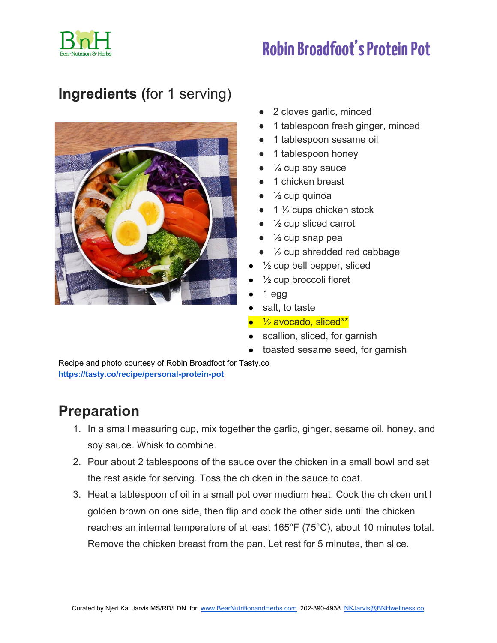

## **RobinBroadfoot' sProteinPot**

### **Ingredients (**for 1 serving)



- 2 cloves garlic, minced
- 1 tablespoon fresh ginger, minced
- 1 tablespoon sesame oil
- 1 tablespoon honey
- $\bullet$   $\frac{1}{4}$  cup soy sauce
- 1 chicken breast
- $\frac{1}{2}$  cup quinoa
- $\bullet$  1  $\frac{1}{2}$  cups chicken stock
- $\bullet$   $\frac{1}{2}$  cup sliced carrot
- $\bullet\quad$  1/<sub>2</sub> cup snap pea
- $\bullet$   $\frac{1}{2}$  cup shredded red cabbage
- $\frac{1}{2}$  cup bell pepper, sliced
- $\frac{1}{2}$  cup broccoli floret
- 1 egg
- salt, to taste
- <sup>1</sup>/<sub>2</sub> avocado, sliced<sup>\*\*</sup>
- scallion, sliced, for garnish
- toasted sesame seed, for garnish

Recipe and photo courtesy of Robin Broadfoot for Tasty.co **<https://tasty.co/recipe/personal-protein-pot>**

#### **Preparation**

- 1. In a small measuring cup, mix together the garlic, ginger, sesame oil, honey, and soy sauce. Whisk to combine.
- 2. Pour about 2 tablespoons of the sauce over the chicken in a small bowl and set the rest aside for serving. Toss the chicken in the sauce to coat.
- 3. Heat a tablespoon of oil in a small pot over medium heat. Cook the chicken until golden brown on one side, then flip and cook the other side until the chicken reaches an internal temperature of at least 165°F (75°C), about 10 minutes total. Remove the chicken breast from the pan. Let rest for 5 minutes, then slice.